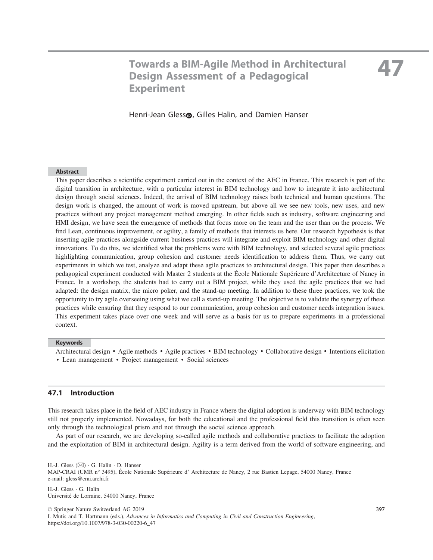# Towards a BIM-Agile Method in Architectural 47 Design Assessment of a Pedagogical Experiment

Henri-Jean Gless <sub>(Gilles Halin, and Damien Hanser</sub>

## Abstract

This paper describes a scientific experiment carried out in the context of the AEC in France. This research is part of the digital transition in architecture, with a particular interest in BIM technology and how to integrate it into architectural design through social sciences. Indeed, the arrival of BIM technology raises both technical and human questions. The design work is changed, the amount of work is moved upstream, but above all we see new tools, new uses, and new practices without any project management method emerging. In other fields such as industry, software engineering and HMI design, we have seen the emergence of methods that focus more on the team and the user than on the process. We find Lean, continuous improvement, or agility, a family of methods that interests us here. Our research hypothesis is that inserting agile practices alongside current business practices will integrate and exploit BIM technology and other digital innovations. To do this, we identified what the problems were with BIM technology, and selected several agile practices highlighting communication, group cohesion and customer needs identification to address them. Thus, we carry out experiments in which we test, analyze and adapt these agile practices to architectural design. This paper then describes a pedagogical experiment conducted with Master 2 students at the École Nationale Supérieure d'Architecture of Nancy in France. In a workshop, the students had to carry out a BIM project, while they used the agile practices that we had adapted: the design matrix, the micro poker, and the stand-up meeting. In addition to these three practices, we took the opportunity to try agile overseeing using what we call a stand-up meeting. The objective is to validate the synergy of these practices while ensuring that they respond to our communication, group cohesion and customer needs integration issues. This experiment takes place over one week and will serve as a basis for us to prepare experiments in a professional context.

## Keywords

Architectural design • Agile methods • Agile practices • BIM technology • Collaborative design • Intentions elicitation • Lean management • Project management • Social sciences

• Lean management • Project management • Social sciences

## 47.1 Introduction

This research takes place in the field of AEC industry in France where the digital adoption is underway with BIM technology still not properly implemented. Nowadays, for both the educational and the professional field this transition is often seen only through the technological prism and not through the social science approach.

As part of our research, we are developing so-called agile methods and collaborative practices to facilitate the adoption and the exploitation of BIM in architectural design. Agility is a term derived from the world of software engineering, and

H.-J. Gless - G. Halin Université de Lorraine, 54000 Nancy, France

© Springer Nature Switzerland AG 2019 I. Mutis and T. Hartmann (eds.), Advances in Informatics and Computing in Civil and Construction Engineering, https://doi.org/10.1007/978-3-030-00220-6\_47

 $H.-J.$  Gless  $(\boxtimes) \cdot G.$  Halin  $\cdot D.$  Hanser

MAP-CRAI (UMR n° 3495), École Nationale Supérieure d' Architecture de Nancy, 2 rue Bastien Lepage, 54000 Nancy, France e-mail: gless@crai.archi.fr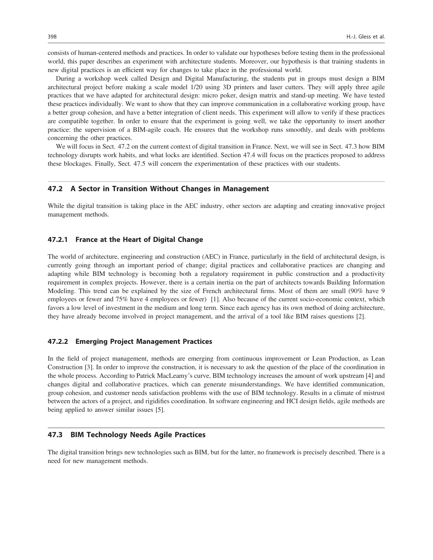consists of human-centered methods and practices. In order to validate our hypotheses before testing them in the professional world, this paper describes an experiment with architecture students. Moreover, our hypothesis is that training students in new digital practices is an efficient way for changes to take place in the professional world.

During a workshop week called Design and Digital Manufacturing, the students put in groups must design a BIM architectural project before making a scale model 1/20 using 3D printers and laser cutters. They will apply three agile practices that we have adapted for architectural design: micro poker, design matrix and stand-up meeting. We have tested these practices individually. We want to show that they can improve communication in a collaborative working group, have a better group cohesion, and have a better integration of client needs. This experiment will allow to verify if these practices are compatible together. In order to ensure that the experiment is going well, we take the opportunity to insert another practice: the supervision of a BIM-agile coach. He ensures that the workshop runs smoothly, and deals with problems concerning the other practices.

We will focus in Sect. 47.2 on the current context of digital transition in France. Next, we will see in Sect. 47.3 how BIM technology disrupts work habits, and what locks are identified. Section 47.4 will focus on the practices proposed to address these blockages. Finally, Sect. 47.5 will concern the experimentation of these practices with our students.

## 47.2 A Sector in Transition Without Changes in Management

While the digital transition is taking place in the AEC industry, other sectors are adapting and creating innovative project management methods.

## 47.2.1 France at the Heart of Digital Change

The world of architecture, engineering and construction (AEC) in France, particularly in the field of architectural design, is currently going through an important period of change; digital practices and collaborative practices are changing and adapting while BIM technology is becoming both a regulatory requirement in public construction and a productivity requirement in complex projects. However, there is a certain inertia on the part of architects towards Building Information Modeling. This trend can be explained by the size of French architectural firms. Most of them are small (90% have 9 employees or fewer and 75% have 4 employees or fewer) [1]. Also because of the current socio-economic context, which favors a low level of investment in the medium and long term. Since each agency has its own method of doing architecture, they have already become involved in project management, and the arrival of a tool like BIM raises questions [2].

# 47.2.2 Emerging Project Management Practices

In the field of project management, methods are emerging from continuous improvement or Lean Production, as Lean Construction [3]. In order to improve the construction, it is necessary to ask the question of the place of the coordination in the whole process. According to Patrick MacLeamy's curve, BIM technology increases the amount of work upstream [4] and changes digital and collaborative practices, which can generate misunderstandings. We have identified communication, group cohesion, and customer needs satisfaction problems with the use of BIM technology. Results in a climate of mistrust between the actors of a project, and rigidifies coordination. In software engineering and HCI design fields, agile methods are being applied to answer similar issues [5].

# 47.3 BIM Technology Needs Agile Practices

The digital transition brings new technologies such as BIM, but for the latter, no framework is precisely described. There is a need for new management methods.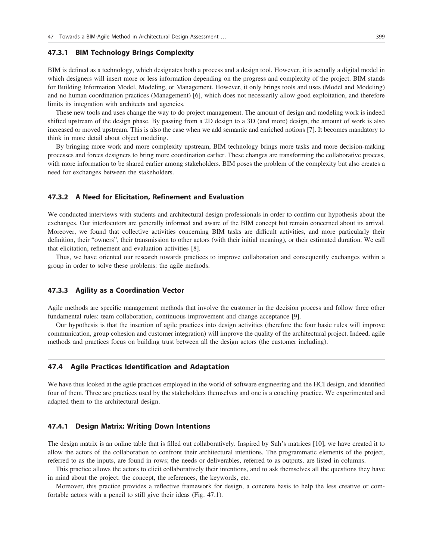#### 47.3.1 BIM Technology Brings Complexity

BIM is defined as a technology, which designates both a process and a design tool. However, it is actually a digital model in which designers will insert more or less information depending on the progress and complexity of the project. BIM stands for Building Information Model, Modeling, or Management. However, it only brings tools and uses (Model and Modeling) and no human coordination practices (Management) [6], which does not necessarily allow good exploitation, and therefore limits its integration with architects and agencies.

These new tools and uses change the way to do project management. The amount of design and modeling work is indeed shifted upstream of the design phase. By passing from a 2D design to a 3D (and more) design, the amount of work is also increased or moved upstream. This is also the case when we add semantic and enriched notions [7]. It becomes mandatory to think in more detail about object modeling.

By bringing more work and more complexity upstream, BIM technology brings more tasks and more decision-making processes and forces designers to bring more coordination earlier. These changes are transforming the collaborative process, with more information to be shared earlier among stakeholders. BIM poses the problem of the complexity but also creates a need for exchanges between the stakeholders.

# 47.3.2 A Need for Elicitation, Refinement and Evaluation

We conducted interviews with students and architectural design professionals in order to confirm our hypothesis about the exchanges. Our interlocutors are generally informed and aware of the BIM concept but remain concerned about its arrival. Moreover, we found that collective activities concerning BIM tasks are difficult activities, and more particularly their definition, their "owners", their transmission to other actors (with their initial meaning), or their estimated duration. We call that elicitation, refinement and evaluation activities [8].

Thus, we have oriented our research towards practices to improve collaboration and consequently exchanges within a group in order to solve these problems: the agile methods.

#### 47.3.3 Agility as a Coordination Vector

Agile methods are specific management methods that involve the customer in the decision process and follow three other fundamental rules: team collaboration, continuous improvement and change acceptance [9].

Our hypothesis is that the insertion of agile practices into design activities (therefore the four basic rules will improve communication, group cohesion and customer integration) will improve the quality of the architectural project. Indeed, agile methods and practices focus on building trust between all the design actors (the customer including).

# 47.4 Agile Practices Identification and Adaptation

We have thus looked at the agile practices employed in the world of software engineering and the HCI design, and identified four of them. Three are practices used by the stakeholders themselves and one is a coaching practice. We experimented and adapted them to the architectural design.

#### 47.4.1 Design Matrix: Writing Down Intentions

The design matrix is an online table that is filled out collaboratively. Inspired by Suh's matrices [10], we have created it to allow the actors of the collaboration to confront their architectural intentions. The programmatic elements of the project, referred to as the inputs, are found in rows; the needs or deliverables, referred to as outputs, are listed in columns.

This practice allows the actors to elicit collaboratively their intentions, and to ask themselves all the questions they have in mind about the project: the concept, the references, the keywords, etc.

Moreover, this practice provides a reflective framework for design, a concrete basis to help the less creative or comfortable actors with a pencil to still give their ideas (Fig. 47.1).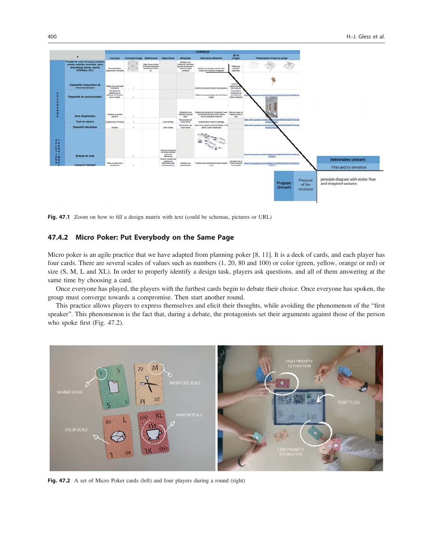

Fig. 47.1 Zoom on how to fill a design matrix with text (could be schemas, pictures or URL)

# 47.4.2 Micro Poker: Put Everybody on the Same Page

Micro poker is an agile practice that we have adapted from planning poker [8, 11]. It is a deck of cards, and each player has four cards. There are several scales of values such as numbers (1, 20, 80 and 100) or color (green, yellow, orange or red) or size (S, M, L and XL). In order to properly identify a design task, players ask questions, and all of them answering at the same time by choosing a card.

Once everyone has played, the players with the furthest cards begin to debate their choice. Once everyone has spoken, the group must converge towards a compromise. Then start another round.

This practice allows players to express themselves and elicit their thoughts, while avoiding the phenomenon of the "first speaker". This phenomenon is the fact that, during a debate, the protagonists set their arguments against those of the person who spoke first (Fig. 47.2).



Fig. 47.2 A set of Micro Poker cards (left) and four players during a round (right)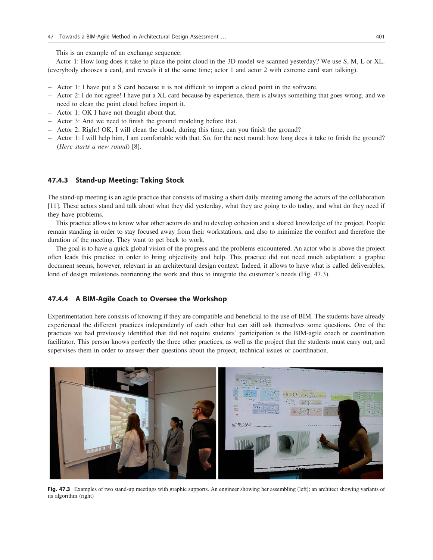This is an example of an exchange sequence:

Actor 1: How long does it take to place the point cloud in the 3D model we scanned yesterday? We use S, M, L or XL. (everybody chooses a card, and reveals it at the same time; actor 1 and actor 2 with extreme card start talking).

- Actor 1: I have put a S card because it is not difficult to import a cloud point in the software.
- Actor 2: I do not agree! I have put a XL card because by experience, there is always something that goes wrong, and we need to clean the point cloud before import it.
- Actor 1: OK I have not thought about that.
- Actor 3: And we need to finish the ground modeling before that.
- Actor 2: Right! OK, I will clean the cloud, during this time, can you finish the ground?
- Actor 1: I will help him, I am comfortable with that. So, for the next round: how long does it take to finish the ground? (Here starts a new round) [8].

# 47.4.3 Stand-up Meeting: Taking Stock

The stand-up meeting is an agile practice that consists of making a short daily meeting among the actors of the collaboration [11]. These actors stand and talk about what they did yesterday, what they are going to do today, and what do they need if they have problems.

This practice allows to know what other actors do and to develop cohesion and a shared knowledge of the project. People remain standing in order to stay focused away from their workstations, and also to minimize the comfort and therefore the duration of the meeting. They want to get back to work.

The goal is to have a quick global vision of the progress and the problems encountered. An actor who is above the project often leads this practice in order to bring objectivity and help. This practice did not need much adaptation: a graphic document seems, however, relevant in an architectural design context. Indeed, it allows to have what is called deliverables, kind of design milestones reorienting the work and thus to integrate the customer's needs (Fig. 47.3).

# 47.4.4 A BIM-Agile Coach to Oversee the Workshop

Experimentation here consists of knowing if they are compatible and beneficial to the use of BIM. The students have already experienced the different practices independently of each other but can still ask themselves some questions. One of the practices we had previously identified that did not require students' participation is the BIM-agile coach or coordination facilitator. This person knows perfectly the three other practices, as well as the project that the students must carry out, and supervises them in order to answer their questions about the project, technical issues or coordination.



Fig. 47.3 Examples of two stand-up meetings with graphic supports. An engineer showing her assembling (left); an architect showing variants of its algorithm (right)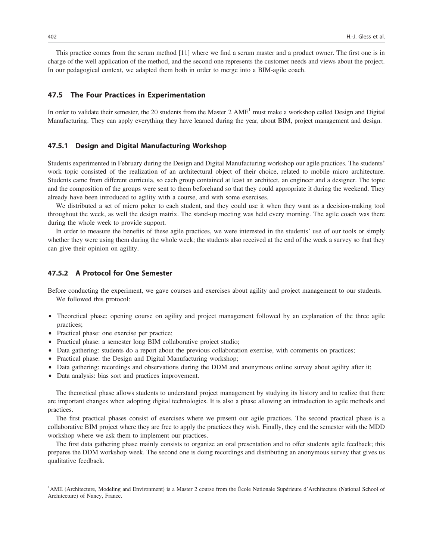This practice comes from the scrum method [11] where we find a scrum master and a product owner. The first one is in charge of the well application of the method, and the second one represents the customer needs and views about the project. In our pedagogical context, we adapted them both in order to merge into a BIM-agile coach.

## 47.5 The Four Practices in Experimentation

In order to validate their semester, the 20 students from the Master 2  $AME<sup>1</sup>$  must make a workshop called Design and Digital Manufacturing. They can apply everything they have learned during the year, about BIM, project management and design.

#### 47.5.1 Design and Digital Manufacturing Workshop

Students experimented in February during the Design and Digital Manufacturing workshop our agile practices. The students' work topic consisted of the realization of an architectural object of their choice, related to mobile micro architecture. Students came from different curricula, so each group contained at least an architect, an engineer and a designer. The topic and the composition of the groups were sent to them beforehand so that they could appropriate it during the weekend. They already have been introduced to agility with a course, and with some exercises.

We distributed a set of micro poker to each student, and they could use it when they want as a decision-making tool throughout the week, as well the design matrix. The stand-up meeting was held every morning. The agile coach was there during the whole week to provide support.

In order to measure the benefits of these agile practices, we were interested in the students' use of our tools or simply whether they were using them during the whole week; the students also received at the end of the week a survey so that they can give their opinion on agility.

# 47.5.2 A Protocol for One Semester

Before conducting the experiment, we gave courses and exercises about agility and project management to our students. We followed this protocol:

- Theoretical phase: opening course on agility and project management followed by an explanation of the three agile practices;
- Practical phase: one exercise per practice;
- Practical phase: a semester long BIM collaborative project studio;
- Data gathering: students do a report about the previous collaboration exercise, with comments on practices;
- Practical phase: the Design and Digital Manufacturing workshop;
- Data gathering: recordings and observations during the DDM and anonymous online survey about agility after it;
- Data analysis: bias sort and practices improvement.

The theoretical phase allows students to understand project management by studying its history and to realize that there are important changes when adopting digital technologies. It is also a phase allowing an introduction to agile methods and practices.

The first practical phases consist of exercises where we present our agile practices. The second practical phase is a collaborative BIM project where they are free to apply the practices they wish. Finally, they end the semester with the MDD workshop where we ask them to implement our practices.

The first data gathering phase mainly consists to organize an oral presentation and to offer students agile feedback; this prepares the DDM workshop week. The second one is doing recordings and distributing an anonymous survey that gives us qualitative feedback.

<sup>&</sup>lt;sup>1</sup>AME (Architecture, Modeling and Environment) is a Master 2 course from the École Nationale Supérieure d'Architecture (National School of Architecture) of Nancy, France.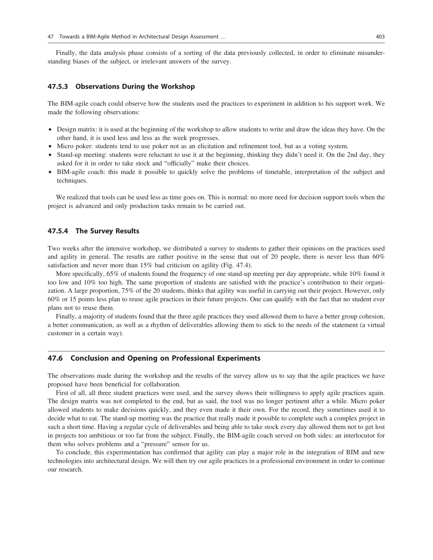Finally, the data analysis phase consists of a sorting of the data previously collected, in order to eliminate misunderstanding biases of the subject, or irrelevant answers of the survey.

## 47.5.3 Observations During the Workshop

The BIM-agile coach could observe how the students used the practices to experiment in addition to his support work. We made the following observations:

- Design matrix: it is used at the beginning of the workshop to allow students to write and draw the ideas they have. On the other hand, it is used less and less as the week progresses.
- Micro poker: students tend to use poker not as an elicitation and refinement tool, but as a voting system.
- Stand-up meeting: students were reluctant to use it at the beginning, thinking they didn't need it. On the 2nd day, they asked for it in order to take stock and "officially" make their choices.
- BIM-agile coach: this made it possible to quickly solve the problems of timetable, interpretation of the subject and techniques.

We realized that tools can be used less as time goes on. This is normal: no more need for decision support tools when the project is advanced and only production tasks remain to be carried out.

#### 47.5.4 The Survey Results

Two weeks after the intensive workshop, we distributed a survey to students to gather their opinions on the practices used and agility in general. The results are rather positive in the sense that out of 20 people, there is never less than 60% satisfaction and never more than 15% bad criticism on agility (Fig. 47.4).

More specifically, 65% of students found the frequency of one stand-up meeting per day appropriate, while 10% found it too low and 10% too high. The same proportion of students are satisfied with the practice's contribution to their organization. A large proportion, 75% of the 20 students, thinks that agility was useful in carrying out their project. However, only 60% or 15 points less plan to reuse agile practices in their future projects. One can qualify with the fact that no student ever plans not to reuse them.

Finally, a majority of students found that the three agile practices they used allowed them to have a better group cohesion, a better communication, as well as a rhythm of deliverables allowing them to stick to the needs of the statement (a virtual customer in a certain way).

## 47.6 Conclusion and Opening on Professional Experiments

The observations made during the workshop and the results of the survey allow us to say that the agile practices we have proposed have been beneficial for collaboration.

First of all, all three student practices were used, and the survey shows their willingness to apply agile practices again. The design matrix was not completed to the end, but as said, the tool was no longer pertinent after a while. Micro poker allowed students to make decisions quickly, and they even made it their own. For the record, they sometimes used it to decide what to eat. The stand-up meeting was the practice that really made it possible to complete such a complex project in such a short time. Having a regular cycle of deliverables and being able to take stock every day allowed them not to get lost in projects too ambitious or too far from the subject. Finally, the BIM-agile coach served on both sides: an interlocutor for them who solves problems and a "pressure" sensor for us.

To conclude, this experimentation has confirmed that agility can play a major role in the integration of BIM and new technologies into architectural design. We will then try our agile practices in a professional environment in order to continue our research.